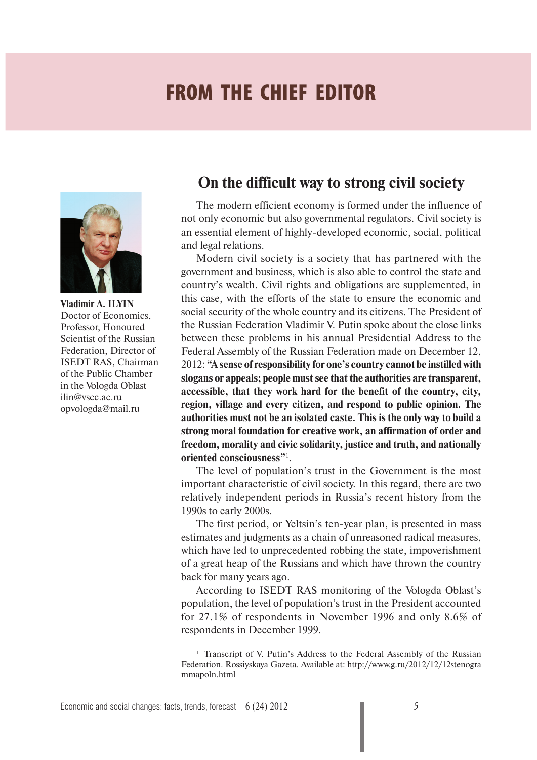# **FROM THE CHIEF EDITOR**



**Vladimir A. ILYIN**  Doctor of Economics, Professor, Honoured Scientist of the Russian Federation, Director of ISEDT RAS, Chairman of the Public Chamber in the Vologda Oblast ilin@vscc.ac.ru opvologda@mail.ru

## **On the difficult way to strong civil society**

The modern efficient economy is formed under the influence of not only economic but also governmental regulators. Civil society is an essential element of highly-developed economic, social, political and legal relations.

Modern civil society is a society that has partnered with the government and business, which is also able to control the state and country's wealth. Civil rights and obligations are supplemented, in this case, with the efforts of the state to ensure the economic and social security of the whole country and its citizens. The President of the Russian Federation Vladimir V. Putin spoke about the close links between these problems in his annual Presidential Address to the Federal Assembly of the Russian Federation made on December 12, 2012: **"A sense of responsibility for one's country cannot be instilled with slogans or appeals; people must see that the authorities are transparent, accessible, that they work hard for the benefit of the country, city, region, village and every citizen, and respond to public opinion. The authorities must not be an isolated caste. This is the only way to build a strong moral foundation for creative work, an affirmation of order and freedom, morality and civic solidarity, justice and truth, and nationally oriented consciousness"**<sup>1</sup> .

The level of population's trust in the Government is the most important characteristic of civil society. In this regard, there are two relatively independent periods in Russia's recent history from the 1990s to early 2000s.

The first period, or Yeltsin's ten-year plan, is presented in mass estimates and judgments as a chain of unreasoned radical measures, which have led to unprecedented robbing the state, impoverishment of a great heap of the Russians and which have thrown the country back for many years ago.

According to ISEDT RAS monitoring of the Vologda Oblast's population, the level of population's trust in the President accounted for 27.1% of respondents in November 1996 and only 8.6% of respondents in December 1999.

<sup>&</sup>lt;sup>1</sup> Transcript of V. Putin's Address to the Federal Assembly of the Russian Federation. Rossiyskaya Gazeta. Available at: http://www.g.ru/2012/12/12stenogra mmapoln.html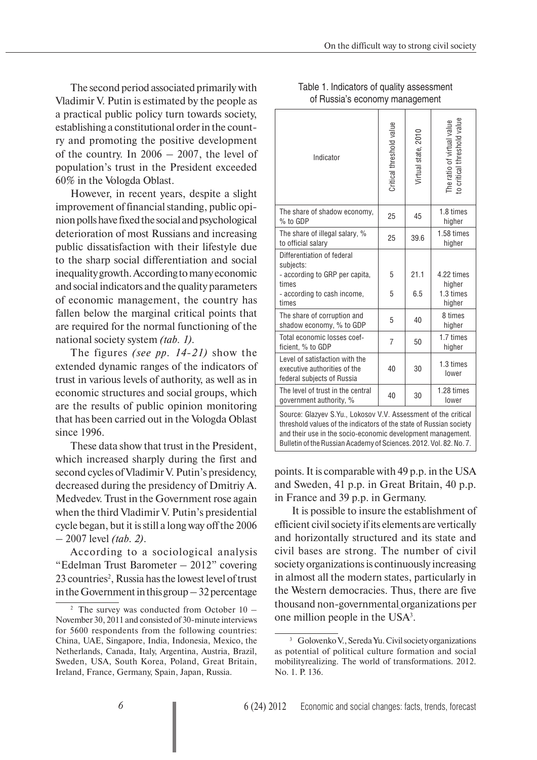The second period associated primarily with Vladimir V. Putin is estimated by the people as a practical public policy turn towards society, establishing a constitutional order in the country and promoting the positive development of the country. In 2006 – 2007, the level of population's trust in the President exceeded 60% in the Vologda Oblast.

However, in recent years, despite a slight improvement of financial standing, public opinion polls have fixed the social and psychological deterioration of most Russians and increasing public dissatisfaction with their lifestyle due to the sharp social differentiation and social inequality growth. According to many economic and social indicators and the quality parameters of economic management, the country has fallen below the marginal critical points that are required for the normal functioning of the national society system *(tab. 1).*

The figures *(see pp. 14-21)* show the extended dynamic ranges of the indicators of trust in various levels of authority, as well as in economic structures and social groups, which are the results of public opinion monitoring that has been carried out in the Vologda Oblast since 1996.

These data show that trust in the President, which increased sharply during the first and second cycles of Vladimir V. Putin's presidency, decreased during the presidency of Dmitriy A. Medvedev. Trust in the Government rose again when the third Vladimir V. Putin's presidential cycle began, but it is still a long way off the 2006 – 2007 level *(tab. 2)*.

According to a sociological analysis "Edelman Trust Barometer – 2012" covering 23 countries<sup>2</sup>, Russia has the lowest level of trust in the Government in this group – 32 percentage

| Indicator                                                                                                                                                                                                                                                                 | Critical threshold value | Virtual state, 2010 | to critical threshold value<br>The ratio of virtual value |  |  |  |  |  |  |
|---------------------------------------------------------------------------------------------------------------------------------------------------------------------------------------------------------------------------------------------------------------------------|--------------------------|---------------------|-----------------------------------------------------------|--|--|--|--|--|--|
| The share of shadow economy,<br>% to GDP                                                                                                                                                                                                                                  | 25                       | 45                  | 1.8 times<br>higher                                       |  |  |  |  |  |  |
| The share of illegal salary, %<br>to official salary                                                                                                                                                                                                                      | 25                       | 39.6                | 1.58 times<br>higher                                      |  |  |  |  |  |  |
| Differentiation of federal<br>subjects:                                                                                                                                                                                                                                   |                          |                     |                                                           |  |  |  |  |  |  |
| - according to GRP per capita,                                                                                                                                                                                                                                            | 5                        | 21.1                | 4.22 times                                                |  |  |  |  |  |  |
| times<br>- according to cash income,<br>times                                                                                                                                                                                                                             | 5                        | 6.5                 | higher<br>1.3 times<br>higher                             |  |  |  |  |  |  |
| The share of corruption and<br>shadow economy, % to GDP                                                                                                                                                                                                                   | 5                        | 40                  | 8 times<br>higher                                         |  |  |  |  |  |  |
| Total economic losses coef-<br>ficient, % to GDP                                                                                                                                                                                                                          | $\overline{7}$           | 50                  | 1.7 times<br>higher                                       |  |  |  |  |  |  |
| Level of satisfaction with the<br>executive authorities of the<br>federal subjects of Russia                                                                                                                                                                              | 40                       | 30                  | 1.3 times<br>lower                                        |  |  |  |  |  |  |
| The level of trust in the central<br>government authority, %                                                                                                                                                                                                              | 40                       | 30                  | 1.28 times<br>lower                                       |  |  |  |  |  |  |
| Source: Glazyev S.Yu., Lokosov V.V. Assessment of the critical<br>threshold values of the indicators of the state of Russian society<br>and their use in the socio-economic development management.<br>Bulletin of the Russian Academy of Sciences. 2012. Vol. 82. No. 7. |                          |                     |                                                           |  |  |  |  |  |  |

### Table 1. Indicators of quality assessment of Russia's economy management

points. It is comparable with 49 p.p. in the USA and Sweden, 41 p.p. in Great Britain, 40 p.p. in France and 39 p.p. in Germany.

 It is possible to insure the establishment of efficient civil society if its elements are vertically and horizontally structured and its state and civil bases are strong. The number of civil society organizations is continuously increasing in almost all the modern states, particularly in the Western democracies. Thus, there are five thousand non-governmental organizations per one million people in the USA3 .

<sup>&</sup>lt;sup>2</sup> The survey was conducted from October  $10 -$ November 30, 2011 and consisted of 30-minute interviews for 5600 respondents from the following countries: China, UAE, Singapore, India, Indonesia, Mexico, the Netherlands, Canada, Italy, Argentina, Austria, Brazil, Sweden, USA, South Korea, Poland, Great Britain, Ireland, France, Germany, Spain, Japan, Russia.

<sup>3</sup> Golovenko V., Sereda Yu. Civil society organizations as potential of political culture formation and social mobilityrealizing. The world of transformations. 2012. No. 1. P. 136.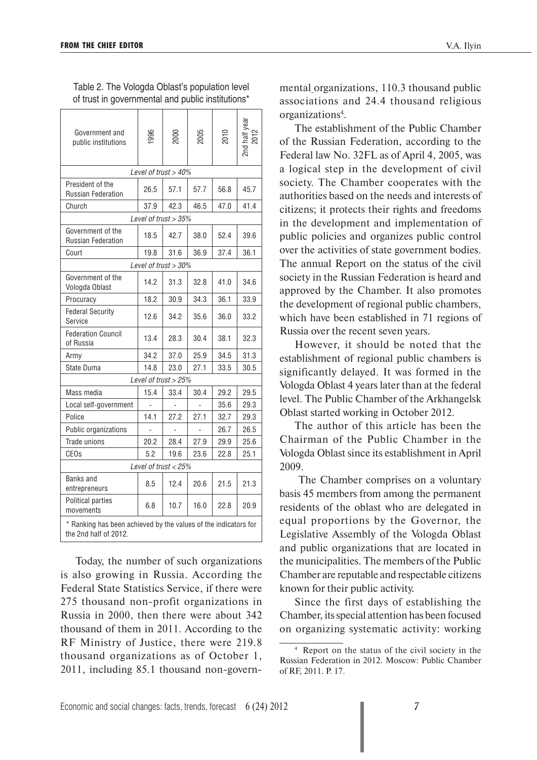| Government and                                                                           | 996  | 200C                    | 2005 | 2010 | 2nd half yea |  |  |  |  |  |  |
|------------------------------------------------------------------------------------------|------|-------------------------|------|------|--------------|--|--|--|--|--|--|
| public institutions                                                                      |      |                         |      |      |              |  |  |  |  |  |  |
| Level of trust > 40%                                                                     |      |                         |      |      |              |  |  |  |  |  |  |
| President of the<br><b>Russian Federation</b>                                            | 26.5 | 57.1                    | 57.7 | 56.8 | 45.7         |  |  |  |  |  |  |
| Church                                                                                   | 37.9 | 42.3                    | 46.5 | 47.0 | 41.4         |  |  |  |  |  |  |
|                                                                                          |      | Level of trust > 35%    |      |      |              |  |  |  |  |  |  |
| Government of the<br><b>Russian Federation</b>                                           | 18.5 | 42.7                    | 38.0 | 52.4 | 39.6         |  |  |  |  |  |  |
| Court                                                                                    | 19.8 | 31.6                    | 36.9 | 37.4 | 36.1         |  |  |  |  |  |  |
|                                                                                          |      | Level of trust $>30\%$  |      |      |              |  |  |  |  |  |  |
| Government of the<br>Vologda Oblast                                                      | 14.2 | 31.3                    | 32.8 | 41.0 | 34.6         |  |  |  |  |  |  |
| Procuracy                                                                                | 18.2 | 30.9                    | 34.3 | 36.1 | 33.9         |  |  |  |  |  |  |
| <b>Federal Security</b><br>Service                                                       | 12.6 | 34.2                    | 35.6 | 36.0 | 33.2         |  |  |  |  |  |  |
| <b>Federation Council</b><br>of Russia                                                   | 13.4 | 28.3                    | 30.4 | 38.1 | 32.3         |  |  |  |  |  |  |
| Army                                                                                     | 34.2 | 37.0                    | 25.9 | 34.5 | 31.3         |  |  |  |  |  |  |
| State Duma                                                                               | 14.8 | 23.0                    | 27.1 | 33.5 | 30.5         |  |  |  |  |  |  |
|                                                                                          |      | Level of trust > 25%    |      |      |              |  |  |  |  |  |  |
| Mass media                                                                               | 15.4 | 33.4                    | 30.4 | 29.2 | 29.5         |  |  |  |  |  |  |
| Local self-government                                                                    |      |                         |      | 35.6 | 29.3         |  |  |  |  |  |  |
| Police                                                                                   | 14.1 | 27.2                    | 27.1 | 32.7 | 29.3         |  |  |  |  |  |  |
| Public organizations                                                                     |      |                         |      | 26.7 | 26.5         |  |  |  |  |  |  |
| Trade unions                                                                             | 20.2 | 28.4                    | 27.9 | 29.9 | 25.6         |  |  |  |  |  |  |
| <b>CEOs</b>                                                                              | 5.2  | 19.6                    | 23.6 | 22.8 | 25.1         |  |  |  |  |  |  |
|                                                                                          |      | Level of trust $< 25\%$ |      |      |              |  |  |  |  |  |  |
| Banks and<br>entrepreneurs                                                               | 8.5  | 12.4                    | 20.6 | 21.5 | 21.3         |  |  |  |  |  |  |
| Political parties<br>movements                                                           | 6.8  | 10.7                    | 16.0 | 22.8 | 20.9         |  |  |  |  |  |  |
| * Ranking has been achieved by the values of the indicators for<br>the 2nd half of 2012. |      |                         |      |      |              |  |  |  |  |  |  |

Table 2. The Vologda Oblast's population level of trust in governmental and public institutions\*

Today, the number of such organizations is also growing in Russia. According the Federal State Statistics Service, if there were 275 thousand non-profit organizations in Russia in 2000, then there were about 342 thousand of them in 2011. According to the RF Ministry of Justice, there were 219.8 thousand organizations as of October 1, 2011, including 85.1 thousand non-governmental organizations, 110.3 thousand public associations and 24.4 thousand religious organizations4 .

The establishment of the Public Chamber of the Russian Federation, according to the Federal law No. 32FL as of April 4, 2005, was a logical step in the development of civil society. The Chamber cooperates with the authorities based on the needs and interests of citizens; it protects their rights and freedoms in the development and implementation of public policies and organizes public control over the activities of state government bodies. The annual Report on the status of the civil society in the Russian Federation is heard and approved by the Chamber. It also promotes the development of regional public chambers, which have been established in 71 regions of Russia over the recent seven years.

However, it should be noted that the establishment of regional public chambers is significantly delayed. It was formed in the Vologda Oblast 4 years later than at the federal level. The Public Chamber of the Arkhangelsk Oblast started working in October 2012.

The author of this article has been the Chairman of the Public Chamber in the Vologda Oblast since its establishment in April 2009.

 The Chamber comprises on a voluntary basis 45 members from among the permanent residents of the oblast who are delegated in equal proportions by the Governor, the Legislative Assembly of the Vologda Oblast and public organizations that are located in the municipalities. The members of the Public Chamber are reputable and respectable citizens known for their public activity.

Since the first days of establishing the Chamber, its special attention has been focused on organizing systematic activity: working

<sup>4</sup> Report on the status of the civil society in the Russian Federation in 2012. Moscow: Public Chamber of RF, 2011. P. 17.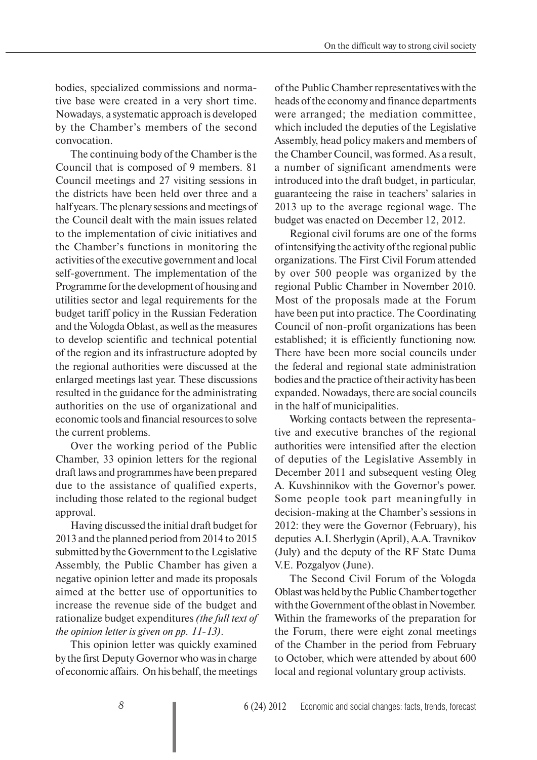bodies, specialized commissions and normative base were created in a very short time. Nowadays, a systematic approach is developed by the Chamber's members of the second convocation.

The continuing body of the Chamber is the Council that is composed of 9 members. 81 Council meetings and 27 visiting sessions in the districts have been held over three and a half years. The plenary sessions and meetings of the Council dealt with the main issues related to the implementation of civic initiatives and the Chamber's functions in monitoring the activities of the executive government and local self-government. The implementation of the Programme for the development of housing and utilities sector and legal requirements for the budget tariff policy in the Russian Federation and the Vologda Oblast, as well as the measures to develop scientific and technical potential of the region and its infrastructure adopted by the regional authorities were discussed at the enlarged meetings last year. These discussions resulted in the guidance for the administrating authorities on the use of organizational and economic tools and financial resources to solve the current problems.

Over the working period of the Public Chamber, 33 opinion letters for the regional draft laws and programmes have been prepared due to the assistance of qualified experts, including those related to the regional budget approval.

Having discussed the initial draft budget for 2013 and the planned period from 2014 to 2015 submitted by the Government to the Legislative Assembly, the Public Chamber has given a negative opinion letter and made its proposals aimed at the better use of opportunities to increase the revenue side of the budget and rationalize budget expenditures *(the full text of the opinion letter is given on pp. 11-13)*.

This opinion letter was quickly examined by the first Deputy Governor who was in charge of economic affairs. On his behalf, the meetings of the Public Chamber representatives with the heads of the economy and finance departments were arranged; the mediation committee, which included the deputies of the Legislative Assembly, head policy makers and members of the Chamber Council, was formed. As a result, a number of significant amendments were introduced into the draft budget, in particular, guaranteeing the raise in teachers' salaries in 2013 up to the average regional wage. The budget was enacted on December 12, 2012.

Regional civil forums are one of the forms of intensifying the activity of the regional public organizations. The First Civil Forum attended by over 500 people was organized by the regional Public Chamber in November 2010. Most of the proposals made at the Forum have been put into practice. The Coordinating Council of non-profit organizations has been established; it is efficiently functioning now. There have been more social councils under the federal and regional state administration bodies and the practice of their activity has been expanded. Nowadays, there are social councils in the half of municipalities.

Working contacts between the representative and executive branches of the regional authorities were intensified after the election of deputies of the Legislative Assembly in December 2011 and subsequent vesting Oleg A. Kuvshinnikov with the Governor's power. Some people took part meaningfully in decision-making at the Chamber's sessions in 2012: they were the Governor (February), his deputies A.I. Sherlygin (April), A.A. Travnikov (July) and the deputy of the RF State Duma V.E. Pozgalyov (June).

The Second Civil Forum of the Vologda Oblast was held by the Public Chamber together with the Government of the oblast in November. Within the frameworks of the preparation for the Forum, there were eight zonal meetings of the Chamber in the period from February to October, which were attended by about 600 local and regional voluntary group activists.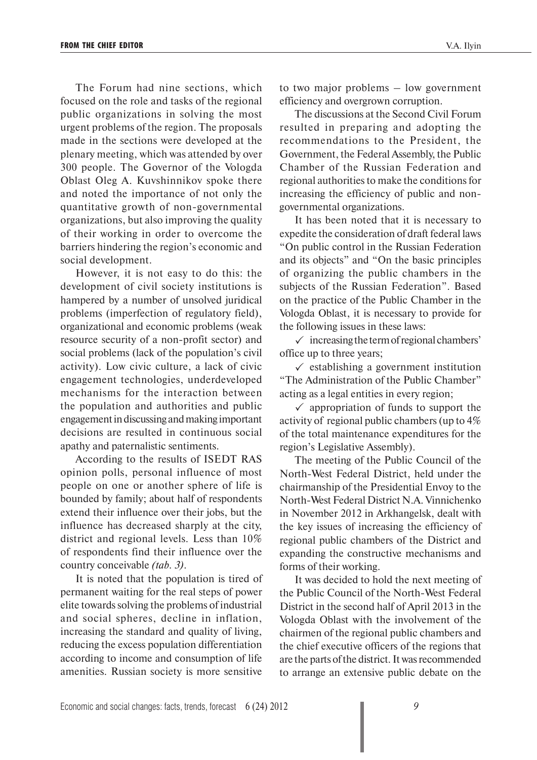The Forum had nine sections, which focused on the role and tasks of the regional public organizations in solving the most urgent problems of the region. The proposals made in the sections were developed at the plenary meeting, which was attended by over 300 people. The Governor of the Vologda Oblast Oleg A. Kuvshinnikov spoke there and noted the importance of not only the quantitative growth of non-governmental organizations, but also improving the quality of their working in order to overcome the barriers hindering the region's economic and social development.

However, it is not easy to do this: the development of civil society institutions is hampered by a number of unsolved juridical problems (imperfection of regulatory field), organizational and economic problems (weak resource security of a non-profit sector) and social problems (lack of the population's civil activity). Low civic culture, a lack of civic engagement technologies, underdeveloped mechanisms for the interaction between the population and authorities and public engagement in discussing and making important decisions are resulted in continuous social apathy and paternalistic sentiments.

According to the results of ISEDT RAS opinion polls, personal influence of most people on one or another sphere of life is bounded by family; about half of respondents extend their influence over their jobs, but the influence has decreased sharply at the city, district and regional levels. Less than 10% of respondents find their influence over the country conceivable *(tab. 3)*.

It is noted that the population is tired of permanent waiting for the real steps of power elite towards solving the problems of industrial and social spheres, decline in inflation, increasing the standard and quality of living, reducing the excess population differentiation according to income and consumption of life amenities. Russian society is more sensitive

to two major problems – low government efficiency and overgrown corruption.

The discussions at the Second Civil Forum resulted in preparing and adopting the recommendations to the President, the Government, the Federal Assembly, the Public Chamber of the Russian Federation and regional authorities to make the conditions for increasing the efficiency of public and nongovernmental organizations.

It has been noted that it is necessary to expedite the consideration of draft federal laws "On public control in the Russian Federation and its objects" and "On the basic principles of organizing the public chambers in the subjects of the Russian Federation". Based on the practice of the Public Chamber in the Vologda Oblast, it is necessary to provide for the following issues in these laws:

 $\checkmark$  increasing the term of regional chambers' office up to three years;

 $\checkmark$  establishing a government institution "The Administration of the Public Chamber" acting as a legal entities in every region;

 $\checkmark$  appropriation of funds to support the activity of regional public chambers (up to 4% of the total maintenance expenditures for the region's Legislative Assembly).

The meeting of the Public Council of the North-West Federal District, held under the chairmanship of the Presidential Envoy to the North-West Federal District N.A. Vinnichenko in November 2012 in Arkhangelsk, dealt with the key issues of increasing the efficiency of regional public chambers of the District and expanding the constructive mechanisms and forms of their working.

It was decided to hold the next meeting of the Public Council of the North-West Federal District in the second half of April 2013 in the Vologda Oblast with the involvement of the chairmen of the regional public chambers and the chief executive officers of the regions that are the parts of the district. It was recommended to arrange an extensive public debate on the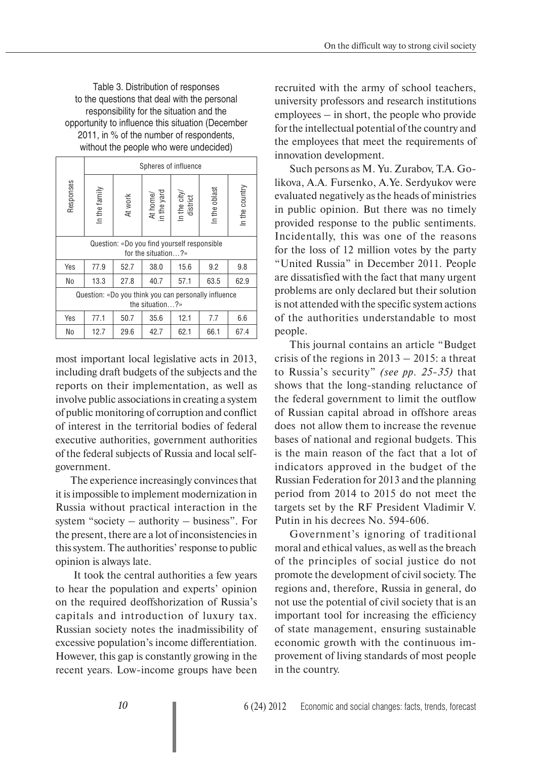Table 3. Distribution of responses to the questions that deal with the personal responsibility for the situation and the opportunity to influence this situation (December 2011, in % of the number of respondents, without the people who were undecided)

|           |                                                                         |         | Spheres of influence |                                                     |               |                |  |  |  |  |  |  |
|-----------|-------------------------------------------------------------------------|---------|----------------------|-----------------------------------------------------|---------------|----------------|--|--|--|--|--|--|
| Responses | In the family                                                           | At work |                      | At home/<br>in the yard<br>In the city/<br>district | In the oblast | In the country |  |  |  |  |  |  |
|           | Question: «Do you find yourself responsible<br>for the situation?»      |         |                      |                                                     |               |                |  |  |  |  |  |  |
| Yes       | 77.9                                                                    | 52.7    | 38.0                 | 15.6                                                | 9.2           | 9.8            |  |  |  |  |  |  |
| No        | 13.3                                                                    | 27.8    | 40.7                 | 57.1                                                | 63.5          | 62.9           |  |  |  |  |  |  |
|           | Question: «Do you think you can personally influence<br>the situation?» |         |                      |                                                     |               |                |  |  |  |  |  |  |
| Yes       | 77.1                                                                    | 50.7    | 35.6                 | 12.1                                                | 7.7           | 6.6            |  |  |  |  |  |  |
| No        | 42.7<br>62.1<br>66.1<br>67.4<br>12.7<br>29.6                            |         |                      |                                                     |               |                |  |  |  |  |  |  |

most important local legislative acts in 2013, including draft budgets of the subjects and the reports on their implementation, as well as involve public associations in creating a system of public monitoring of corruption and conflict of interest in the territorial bodies of federal executive authorities, government authorities of the federal subjects of Russia and local selfgovernment.

The experience increasingly convinces that it is impossible to implement modernization in Russia without practical interaction in the system "society – authority – business". For the present, there are a lot of inconsistencies in this system. The authorities' response to public opinion is always late.

 It took the central authorities a few years to hear the population and experts' opinion on the required deoffshorization of Russia's capitals and introduction of luxury tax. Russian society notes the inadmissibility of excessive population's income differentiation. However, this gap is constantly growing in the recent years. Low-income groups have been

recruited with the army of school teachers, university professors and research institutions employees – in short, the people who provide for the intellectual potential of the country and the employees that meet the requirements of innovation development.

Such persons as M. Yu. Zurabov, T.A. Golikova, A.A. Fursenko, A.Ye. Serdyukov were evaluated negatively as the heads of ministries in public opinion. But there was no timely provided response to the public sentiments. Incidentally, this was one of the reasons for the loss of 12 million votes by the party "United Russia" in December 2011. People are dissatisfied with the fact that many urgent problems are only declared but their solution is not attended with the specific system actions of the authorities understandable to most people.

This journal contains an article "Budget crisis of the regions in  $2013 - 2015$ : a threat to Russia's security" *(see pp. 25-35)* that shows that the long-standing reluctance of the federal government to limit the outflow of Russian capital abroad in offshore areas does not allow them to increase the revenue bases of national and regional budgets. This is the main reason of the fact that a lot of indicators approved in the budget of the Russian Federation for 2013 and the planning period from 2014 to 2015 do not meet the targets set by the RF President Vladimir V. Putin in his decrees No. 594-606.

Government's ignoring of traditional moral and ethical values, as well as the breach of the principles of social justice do not promote the development of civil society. The regions and, therefore, Russia in general, do not use the potential of civil society that is an important tool for increasing the efficiency of state management, ensuring sustainable economic growth with the continuous improvement of living standards of most people in the country.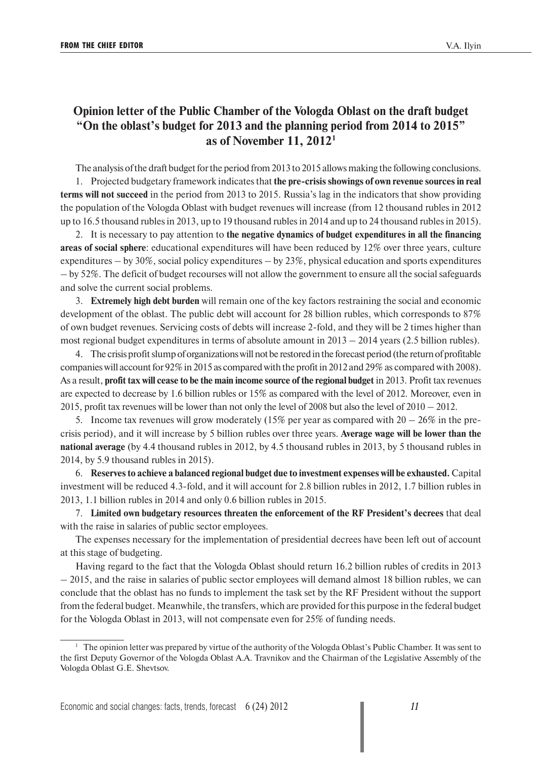## **Opinion letter of the Public Chamber of the Vologda Oblast on the draft budget "On the oblast's budget for 2013 and the planning period from 2014 to 2015" as of November 11, 20121**

The analysis of the draft budget for the period from 2013 to 2015 allows making the following conclusions.

1. Projected budgetary framework indicates that **the pre-crisis showings of own revenue sources in real terms will not succeed** in the period from 2013 to 2015. Russia's lag in the indicators that show providing the population of the Vologda Oblast with budget revenues will increase (from 12 thousand rubles in 2012 up to 16.5 thousand rubles in 2013, up to 19 thousand rubles in 2014 and up to 24 thousand rubles in 2015).

2. It is necessary to pay attention to **the negative dynamics of budget expenditures in all the financing areas of social sphere**: educational expenditures will have been reduced by 12% over three years, culture expenditures – by 30%, social policy expenditures – by 23%, physical education and sports expenditures – by 52%. The deficit of budget recourses will not allow the government to ensure all the social safeguards and solve the current social problems.

3. **Extremely high debt burden** will remain one of the key factors restraining the social and economic development of the oblast. The public debt will account for 28 billion rubles, which corresponds to 87% of own budget revenues. Servicing costs of debts will increase 2-fold, and they will be 2 times higher than most regional budget expenditures in terms of absolute amount in 2013 – 2014 years (2.5 billion rubles).

4. The crisis profit slump of organizations will not be restored in the forecast period (the return of profitable companies will account for 92% in 2015 as compared with the profit in 2012 and 29% as compared with 2008). As a result, **profit tax will cease to be the main income source of the regional budget** in 2013. Profit tax revenues are expected to decrease by 1.6 billion rubles or 15% as compared with the level of 2012. Moreover, even in 2015, profit tax revenues will be lower than not only the level of 2008 but also the level of 2010 – 2012.

5. Income tax revenues will grow moderately (15% per year as compared with  $20 - 26\%$  in the precrisis period), and it will increase by 5 billion rubles over three years. **Average wage will be lower than the national average** (by 4.4 thousand rubles in 2012, by 4.5 thousand rubles in 2013, by 5 thousand rubles in 2014, by 5.9 thousand rubles in 2015).

6. **Reserves to achieve a balanced regional budget due to investment expenses will be exhausted.** Capital investment will be reduced 4.3-fold, and it will account for 2.8 billion rubles in 2012, 1.7 billion rubles in 2013, 1.1 billion rubles in 2014 and only 0.6 billion rubles in 2015.

7. **Limited own budgetary resources threaten the enforcement of the RF President's decrees** that deal with the raise in salaries of public sector employees.

The expenses necessary for the implementation of presidential decrees have been left out of account at this stage of budgeting.

Having regard to the fact that the Vologda Oblast should return 16.2 billion rubles of credits in 2013 – 2015, and the raise in salaries of public sector employees will demand almost 18 billion rubles, we can conclude that the oblast has no funds to implement the task set by the RF President without the support from the federal budget. Meanwhile, the transfers, which are provided for this purpose in the federal budget for the Vologda Oblast in 2013, will not compensate even for 25% of funding needs.

<sup>&</sup>lt;sup>1</sup> The opinion letter was prepared by virtue of the authority of the Vologda Oblast's Public Chamber. It was sent to the first Deputy Governor of the Vologda Oblast A.A. Travnikov and the Chairman of the Legislative Assembly of the Vologda Oblast G.E. Shevtsov.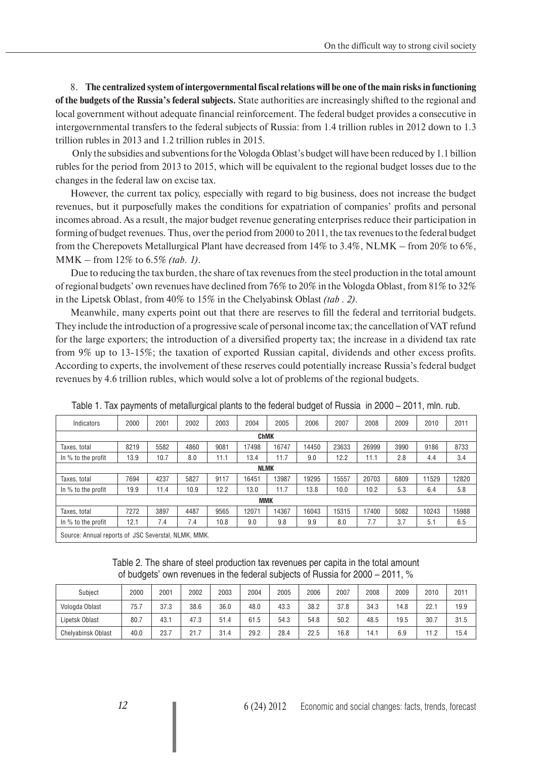8. **The centralized system of intergovernmental fiscal relations will be one of the main risks in functioning of the budgets of the Russia's federal subjects.** State authorities are increasingly shifted to the regional and local government without adequate financial reinforcement. The federal budget provides a consecutive in intergovernmental transfers to the federal subjects of Russia: from 1.4 trillion rubles in 2012 down to 1.3 trillion rubles in 2013 and 1.2 trillion rubles in 2015.

 Only the subsidies and subventions for the Vologda Oblast's budget will have been reduced by 1.1 billion rubles for the period from 2013 to 2015, which will be equivalent to the regional budget losses due to the changes in the federal law on excise tax.

However, the current tax policy, especially with regard to big business, does not increase the budget revenues, but it purposefully makes the conditions for expatriation of companies' profits and personal incomes abroad. As a result, the major budget revenue generating enterprises reduce their participation in forming of budget revenues. Thus, over the period from 2000 to 2011, the tax revenues to the federal budget from the Cherepovets Metallurgical Plant have decreased from 14% to 3.4%, NLMK – from 20% to 6%, MMK – from 12% to 6.5% *(tab. 1)*.

Due to reducing the tax burden, the share of tax revenues from the steel production in the total amount of regional budgets' own revenues have declined from 76% to 20% in the Vologda Oblast, from 81% to 32% in the Lipetsk Oblast, from 40% to 15% in the Chelyabinsk Oblast *(tab . 2)*.

Meanwhile, many experts point out that there are reserves to fill the federal and territorial budgets. They include the introduction of a progressive scale of personal income tax; the cancellation of VAT refund for the large exporters; the introduction of a diversified property tax; the increase in a dividend tax rate from 9% up to 13-15%; the taxation of exported Russian capital, dividends and other excess profits. According to experts, the involvement of these reserves could potentially increase Russia's federal budget revenues by 4.6 trillion rubles, which would solve a lot of problems of the regional budgets.

| Indicators                                          | 2000        | 2001 | 2002 | 2003 | 2004       | 2005  | 2006  | 2007  | 2008  | 2009 | 2010  | 2011  |  |  |
|-----------------------------------------------------|-------------|------|------|------|------------|-------|-------|-------|-------|------|-------|-------|--|--|
|                                                     | <b>ChMK</b> |      |      |      |            |       |       |       |       |      |       |       |  |  |
| Taxes, total                                        | 8219        | 5582 | 4860 | 9081 | 17498      | 16747 | 14450 | 23633 | 26999 | 3990 | 9186  | 8733  |  |  |
| In % to the profit                                  | 13.9        | 10.7 | 8.0  | 11.1 | 13.4       | 11.7  | 9.0   | 12.2  | 11.1  | 2.8  | 4.4   | 3.4   |  |  |
| <b>NLMK</b>                                         |             |      |      |      |            |       |       |       |       |      |       |       |  |  |
| Taxes, total                                        | 7694        | 4237 | 5827 | 9117 | 16451      | 13987 | 19295 | 15557 | 20703 | 6809 | 11529 | 12820 |  |  |
| In % to the profit                                  | 19.9        | 11.4 | 10.9 | 12.2 | 13.0       | 11.7  | 13.8  | 10.0  | 10.2  | 5.3  | 6.4   | 5.8   |  |  |
|                                                     |             |      |      |      | <b>MMK</b> |       |       |       |       |      |       |       |  |  |
| Taxes, total                                        | 7272        | 3897 | 4487 | 9565 | 12071      | 14367 | 16043 | 15315 | 17400 | 5082 | 10243 | 15988 |  |  |
| In % to the profit                                  | 12.1        | 7.4  | 7.4  | 10.8 | 9.0        | 9.8   | 9.9   | 8.0   | 7.7   | 3.7  | 5.1   | 6.5   |  |  |
| Source: Annual reports of JSC Severstal, NLMK, MMK, |             |      |      |      |            |       |       |       |       |      |       |       |  |  |

Table 1. Tax payments of metallurgical plants to the federal budget of Russia in 2000 – 2011, mln. rub.

Table 2. The share of steel production tax revenues per capita in the total amount of budgets' own revenues in the federal subjects of Russia for 2000 – 2011, %

| Subject                   | 2000 | 2001 | 2002 | 2003 | 2004 | 2005 | 2006 | 2007 | 2008 | 2009 | 2010 | 2011 |
|---------------------------|------|------|------|------|------|------|------|------|------|------|------|------|
| Vologda Oblast            | 75.7 | 37.3 | 38.6 | 36.0 | 48.0 | 43.3 | 38.2 | 37.8 | 34.3 | 14.8 | 22.  | 19.9 |
| Lipetsk Oblast            | 80.7 | 43.1 | 47.3 | 51.4 | 61.5 | 54.3 | 54.8 | 50.2 | 48.5 | 19.5 | 30.  | 31.5 |
| <b>Chelvabinsk Oblast</b> | 40.0 | 23.7 | 21.7 | 31.4 | 29.2 | 28.4 | 22.5 | 16.8 | 14.1 | 6.9  | 11.2 | 15.4 |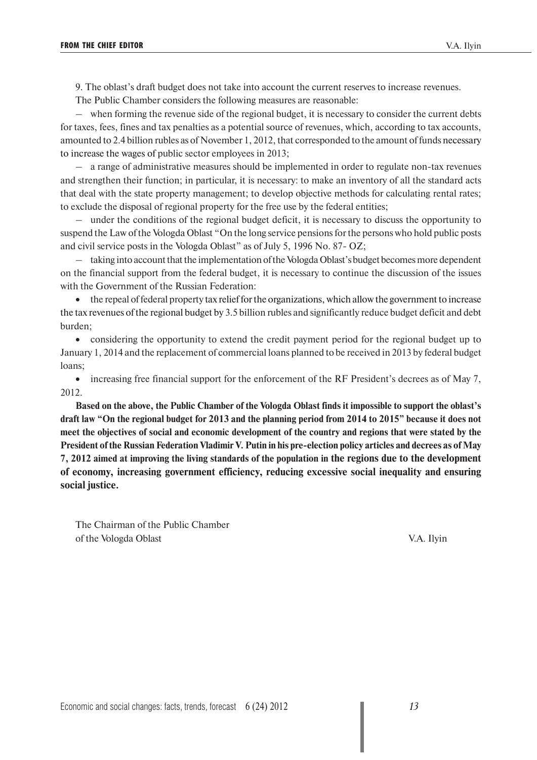9. The oblast's draft budget does not take into account the current reserves to increase revenues.

The Public Chamber considers the following measures are reasonable:

– when forming the revenue side of the regional budget, it is necessary to consider the current debts for taxes, fees, fines and tax penalties as a potential source of revenues, which, according to tax accounts, amounted to 2.4 billion rubles as of November 1, 2012, that corresponded to the amount of funds necessary to increase the wages of public sector employees in 2013;

– a range of administrative measures should be implemented in order to regulate non-tax revenues and strengthen their function; in particular, it is necessary: to make an inventory of all the standard acts that deal with the state property management; to develop objective methods for calculating rental rates; to exclude the disposal of regional property for the free use by the federal entities;

– under the conditions of the regional budget deficit, it is necessary to discuss the opportunity to suspend the Law of the Vologda Oblast "On the long service pensions for the persons who hold public posts and civil service posts in the Vologda Oblast" as of July 5, 1996 No. 87- OZ;

– taking into account that the implementation of the Vologda Oblast's budget becomes more dependent on the financial support from the federal budget, it is necessary to continue the discussion of the issues with the Government of the Russian Federation:

• the repeal of federal property tax relief for the organizations, which allow the government to increase the tax revenues of the regional budget by 3.5 billion rubles and significantly reduce budget deficit and debt burden;

• considering the opportunity to extend the credit payment period for the regional budget up to January 1, 2014 and the replacement of commercial loans planned to be received in 2013 by federal budget loans;

• increasing free financial support for the enforcement of the RF President's decrees as of May 7, 2012.

**Based on the above, the Public Chamber of the Vologda Oblast finds it impossible to support the oblast's draft law "On the regional budget for 2013 and the planning period from 2014 to 2015" because it does not meet the objectives of social and economic development of the country and regions that were stated by the President of the Russian Federation Vladimir V. Putin in his pre-election policy articles and decrees as of May 7, 2012 aimed at improving the living standards of the population in the regions due to the development of economy, increasing government efficiency, reducing excessive social inequality and ensuring social justice.**

The Chairman of the Public Chamber of the Vologda Oblast V.A. Ilyin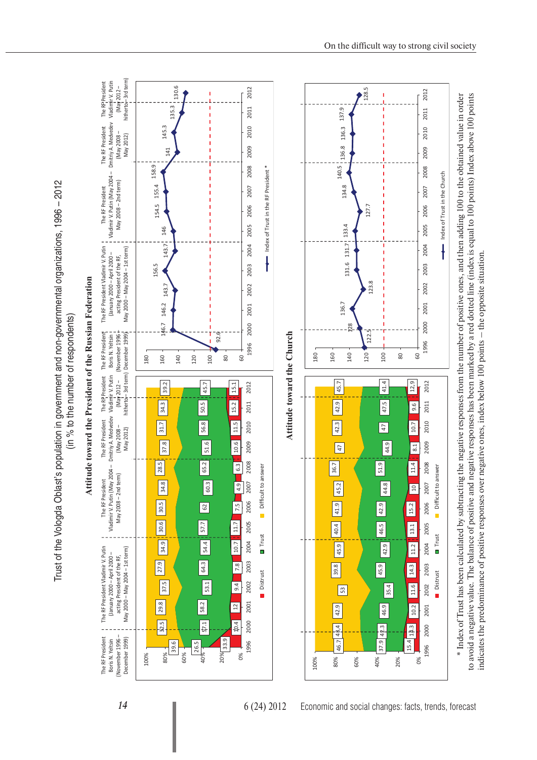Trust of the Vologda Oblast's population in government and non-governmental organizations, 1996 – 2012 Trust of the Vologda Oblast's population in government and non-governmental organizations, 1996 - 2012

(in % to the number of respondents) (in % to the number of respondents)



to avoid a negative value. The balance of positive and negative responses has been marked by a red dotted line (index is equal to 100 points) Index above 100 points

to avoid a negative value. The balance of positive and negative responses has been marked by a red dotted line (index is equal to 100 points) Index above 100 points

indicates the predominance of positive responses over negative ones, index below 100 points – the opposite situation.

indicates the predominance of positive responses over negative ones, index below 100 points - the opposite situation.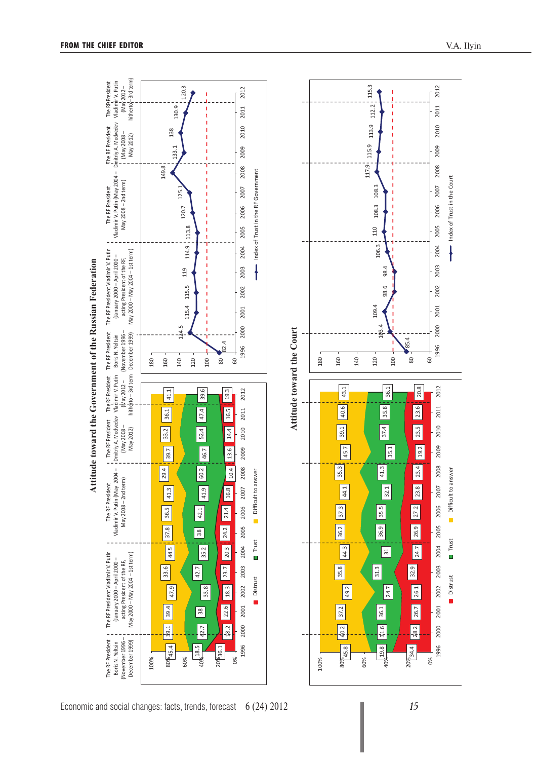

Economic and social changes: facts, trends, forecast 6 (24) 2012 *15*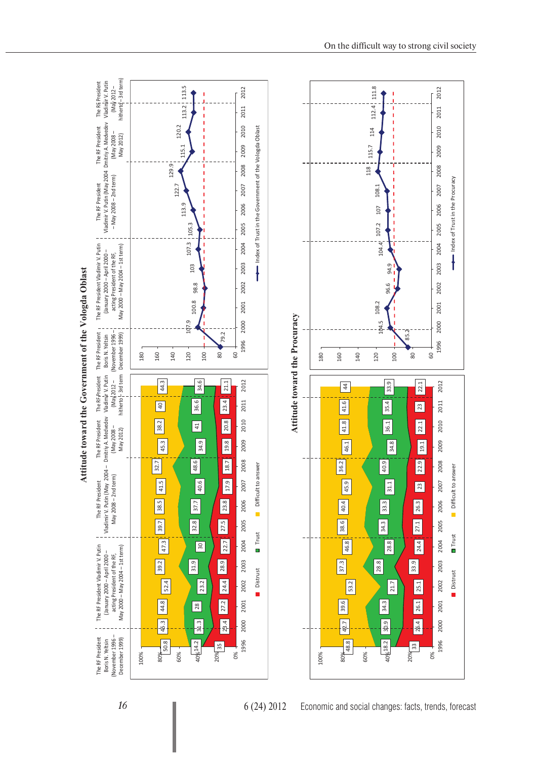



16 **Ⅰ** 6 (24) 2012 Economic and social changes: facts, trends, forecast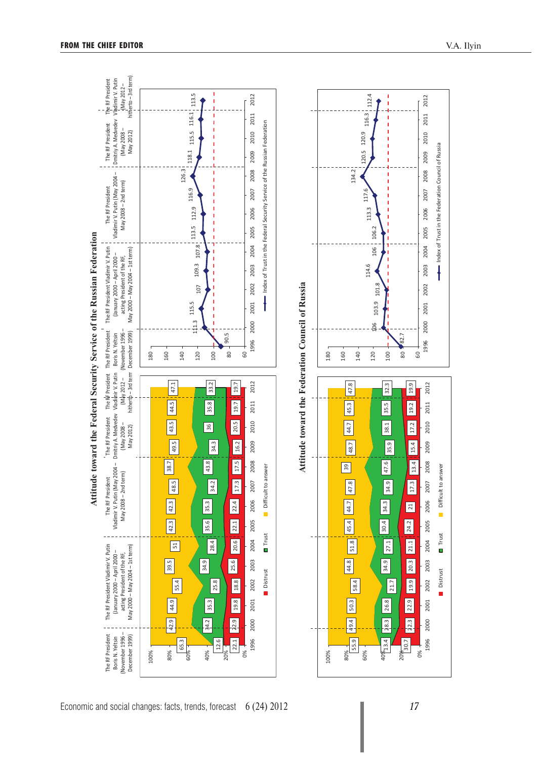

Economic and social changes: facts, trends, forecast 6 (24) 2012 *17*

0%

20% 20.7

13.4 28.3 26.8

 $\frac{1}{28.3}$ 

26.8

40%13.4

21.7

 $34.9$   $77.1$   $30.4$   $34.3$   $34.9$   $47.6$   $35.9$   $38.1$   $35.5$   $32.3$ 

34.9

 $\boxed{34.3}$ 

30.4

 $\overline{\overline{\phantom{0}27.1}}$ 

 $\boxed{34.9}$ 

47.6

82.7

2005

2004

2002

2001

2000

1996

2011

2006

2012

2011

2010

2009

2008

2007

Index of Trust in the Federation Council of Russia

Index of Trust in the Federation Council of Russia

 $\ddagger$ 2003

80 60

> 19.9 2012

19.2

 $\boxed{17.2}$ 2010

15.4 2009

13.4 2008

17.3

100

32.3

35.5

 $38.1$ 

 $\sqrt{35.9}$ 

30.7 22.3 22.9 19.9 20.3 21.1 24.2 21 17.3 13.4 15.4 17.2 19.2 19.9

24.2

21.1

20.3 2003

**19.9** 

22.9

 $\boxed{\phantom{1}}$ 2000

 $\boxed{7}$ 

2005

2004

2002

2001

1996

2006

2007

Distrust **Trust** Difficult to answer

**D** Trust

Distrust

n.

Ì.

Difficult to answer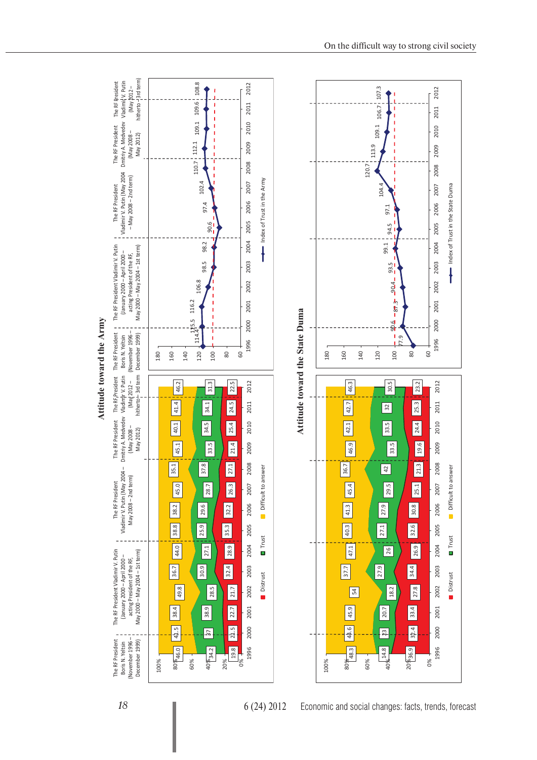

**Attitude toward the Army**  Attitude toward the Army

*18* 6 (24) 2012 Economic and social changes: facts, trends, forecast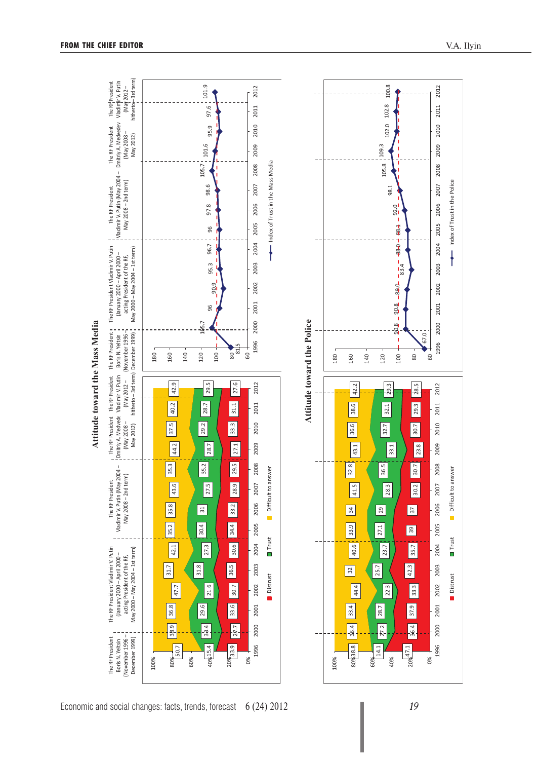

Economic and social changes: facts, trends, forecast 6 (24) 2012 *19*

Index of Trust in the Police

Index of Trust in the Police

 $\ddagger$ 

Distrust Trust Difficult to answer

**D** Trust

Distrust

 $\blacksquare$ 

Difficult to answer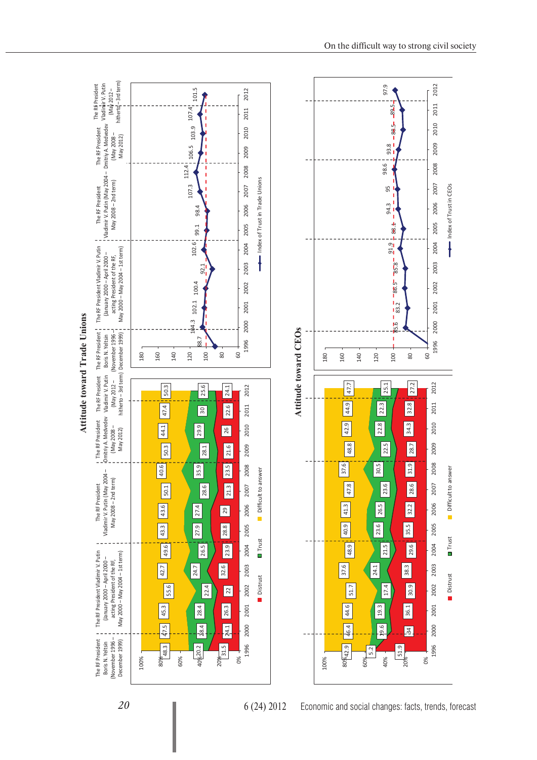





20 **■** 6 (24) 2012 Economic and social changes: facts, trends, forecast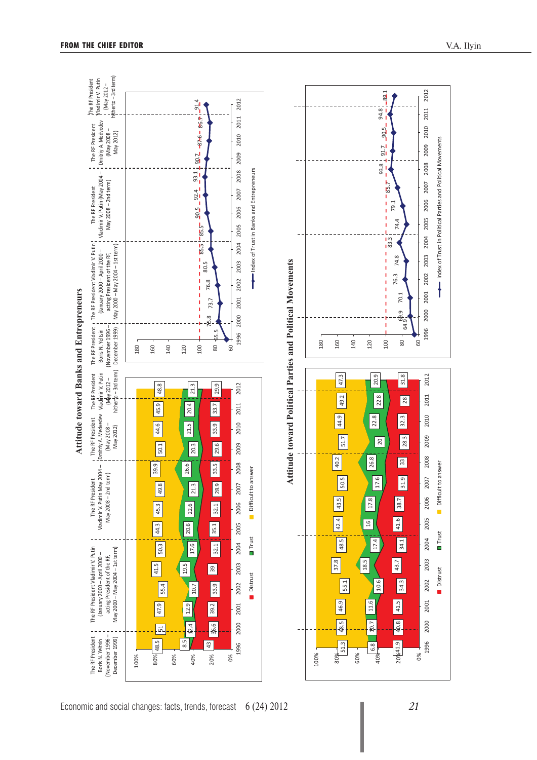

 $-91.4$ 

2012

2011

The RF President Vladimir V. Putin (May 2012 – hitherto – 3rd term)

The RF President

yladimir V. Putin<br>! (May 2012 hitherto - 3rd term)

0%

41.9 40.8 41.5 34.3 43.7 34.1 41.6 38.7 31.9 33 78 32.3 78 31.8

34.1

43.7

34.3

41.5

40.8

41.6

38.7

2005

2004

2003

2002

2001

2000

1996

2006

Distrust Trust Difficult to answer

**O** Trust

Distrust

Ō.

Difficult to answer

6.8 10.7 11.6

10.7

 $\sqrt{8}$ 

11.6

40%

20%41.9

51.3 48.5 46.9 55.1

48.5

46.9

**55.1** 

 $30\% - 51.3$ 

60%

37.8

48.5  $\begin{array}{|c|c|c|c|c|c|c|c|}\n\hline\n48.5 & 43.5 & 50.5 & 40.2 & 44.9 & 49.2 & 47.3\n\end{array}$ 

50.5

43.5

42.4

48.5

 $40.2$ 

 $\boxed{51.7}$ 

160 140 120 100

47.3

49.2

44.9

10.6

17.4

16 17.8

17.6

 $\sqrt{2}$ 

22.8

 $\frac{1}{22.8}$   $\frac{20.9}{1}$ 

64.9.9<br>64.9. 69.9 70.1

80 .<br>ອ

31.8

 $\sqrt{28}$ 

32.3

28.3

 $\boxed{3}$ 

31.9

76.3 74.8

76.3

 $70.1$ 

 $\sigma$ 

74.8

83.3

Ï

Ï

Ĺ

85.7

f.

 $\mathbf{I}$ 

Ï Ï

Ï

 $93.8^{+1}_{-2.92}$  91.8  $^{94.8}_{-2.89}$  94.8

 $-90.5 -$ 

 $91.7$ 

93.8

94.8

 $-89.1$ 

74.4 79.1

2005

2004

2003

2002

2001

2000

1996

2012

2011

2010

2009

2008

2007

 $\ddagger$ 

2006

Index of Trust in Political Parties and Political Movements

2012

2011

2010

2009

2008

2007

26.8

18.5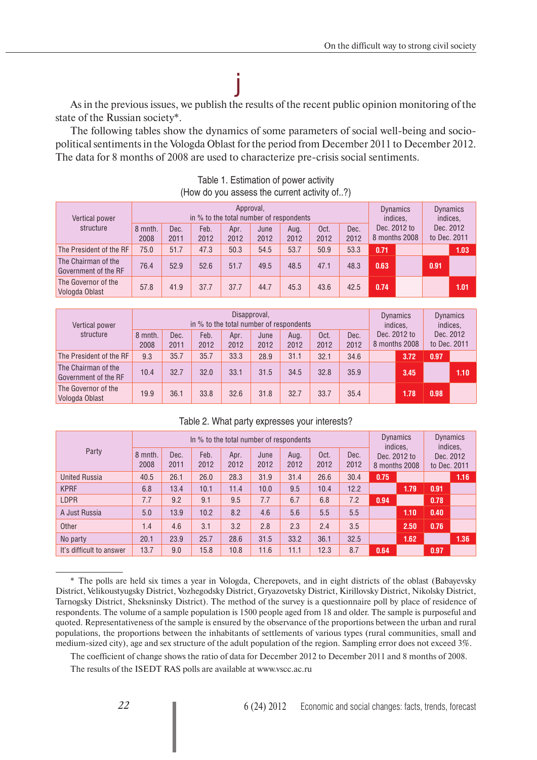state of the Russian society\*. As in the previous issues, we publish the results of the recent public opinion monitoring of the

j

The following tables show the dynamics of some parameters of social well-being and sociopolitical sentiments in the Vologda Oblast for the period from December 2011 to December 2012. The data for 8 months of 2008 are used to characterize pre-crisis social sentiments.

| Vertical power                              |                 |              | in % to the total number of respondents | Approval,    |              |              |              |              | Dynamics<br>indices.<br>Dec. 2012 to<br>8 months 2008 |  | <b>Dynamics</b><br>indices.<br>Dec. 2012<br>to Dec. 2011 |      |
|---------------------------------------------|-----------------|--------------|-----------------------------------------|--------------|--------------|--------------|--------------|--------------|-------------------------------------------------------|--|----------------------------------------------------------|------|
| structure                                   | 8 mnth.<br>2008 | Dec.<br>2011 | Feb.<br>2012                            | Apr.<br>2012 | June<br>2012 | Aug.<br>2012 | Oct.<br>2012 | Dec.<br>2012 |                                                       |  |                                                          |      |
| The President of the RF                     | 75.0            | 51.7         | 47.3                                    | 50.3         | 54.5         | 53.7         | 50.9         | 53.3         | 0.71                                                  |  |                                                          | 1.03 |
| The Chairman of the<br>Government of the RF | 76.4            | 52.9         | 52.6                                    | 51.7         | 49.5         | 48.5         | 47.1         | 48.3         | 0.63                                                  |  | 0.91                                                     |      |
| The Governor of the<br>Vologda Oblast       | 57.8            | 41.9         | 37.7                                    | 37.7         | 44.7         | 45.3         | 43.6         | 42.5         | 0.74                                                  |  |                                                          | 1.01 |

| Table 1. Estimation of power activity        |  |
|----------------------------------------------|--|
| (How do you assess the current activity of?) |  |

| Vertical power<br>structure                 |                 |              |              | Disapproval,<br>in % to the total number of respondents |              |              |              |              | <b>Dynamics</b><br>indices.<br>Dec. 2012 to<br>8 months 2008 |      | <b>Dynamics</b><br>indices.<br>Dec. 2012<br>to Dec. 2011 |      |
|---------------------------------------------|-----------------|--------------|--------------|---------------------------------------------------------|--------------|--------------|--------------|--------------|--------------------------------------------------------------|------|----------------------------------------------------------|------|
|                                             | 8 mnth.<br>2008 | Dec.<br>2011 | Feb.<br>2012 | Apr.<br>2012                                            | June<br>2012 | Aug.<br>2012 | Oct.<br>2012 | Dec.<br>2012 |                                                              |      |                                                          |      |
| The President of the RF                     | 9.3             | 35.7         | 35.7         | 33.3                                                    | 28.9         | 31.1         | 32.1         | 34.6         |                                                              | 3.72 | 0.97                                                     |      |
| The Chairman of the<br>Government of the RF | 10.4            | 32.7         | 32.0         | 33.1                                                    | 31.5         | 34.5         | 32.8         | 35.9         |                                                              | 3.45 |                                                          | 1.10 |
| The Governor of the<br>Vologda Oblast       | 19.9            | 36.1         | 33.8         | 32.6                                                    | 31.8         | 32.7         | 33.7         | 35.4         |                                                              | 1.78 | 0.98                                                     |      |

|                          |                 | In % to the total number of respondents |              |              |              |              |              |              |          |                               | <b>Dynamics</b><br>indices, |      |
|--------------------------|-----------------|-----------------------------------------|--------------|--------------|--------------|--------------|--------------|--------------|----------|-------------------------------|-----------------------------|------|
| Party                    | 8 mnth.<br>2008 | Dec.<br>2011                            | Feb.<br>2012 | Apr.<br>2012 | June<br>2012 | Aug.<br>2012 | Oct.<br>2012 | Dec.<br>2012 | indices. | Dec. 2012 to<br>8 months 2008 | Dec. 2012<br>to Dec. 2011   |      |
| <b>United Russia</b>     | 40.5            | 26.1                                    | 26.0         | 28.3         | 31.9         | 31.4         | 26.6         | 30.4         | 0.75     |                               |                             | 1.16 |
| <b>KPRF</b>              | 6.8             | 13.4                                    | 10.1         | 11.4         | 10.0         | 9.5          | 10.4         | 12.2         |          | 1.79                          | 0.91                        |      |
| <b>LDPR</b>              | 7.7             | 9.2                                     | 9.1          | 9.5          | 7.7          | 6.7          | 6.8          | 7.2          | 0.94     |                               | 0.78                        |      |
| A Just Russia            | 5.0             | 13.9                                    | 10.2         | 8.2          | 4.6          | 5.6          | 5.5          | 5.5          |          | 1.10                          | 0.40                        |      |
| Other                    | 1.4             | 4.6                                     | 3.1          | 3.2          | 2.8          | 2.3          | 2.4          | 3.5          |          | 2.50                          | 0.76                        |      |
| No party                 | 20.1            | 23.9                                    | 25.7         | 28.6         | 31.5         | 33.2         | 36.1         | 32.5         |          | 1.62                          |                             | 1.36 |
| It's difficult to answer | 13.7            | 9.0                                     | 15.8         | 10.8         | 11.6         | 11.1         | 12.3         | 8.7          | 0.64     |                               | 0.97                        |      |

#### Table 2. What party expresses your interests?

The coefficient of change shows the ratio of data for December 2012 to December 2011 and 8 months of 2008.

The results of the ISEDT RAS polls are available at www.vscc.ac.ru

<sup>\*</sup> The polls are held six times a year in Vologda, Cherepovets, and in eight districts of the oblast (Babayevsky District, Velikoustyugsky District, Vozhegodsky District, Gryazovetsky District, Kirillovsky District, Nikolsky District, Tarnogsky District, Sheksninsky District). The method of the survey is a questionnaire poll by place of residence of respondents. The volume of a sample population is 1500 people aged from 18 and older. The sample is purposeful and quoted. Representativeness of the sample is ensured by the observance of the proportions between the urban and rural populations, the proportions between the inhabitants of settlements of various types (rural communities, small and medium-sized city), age and sex structure of the adult population of the region. Sampling error does not exceed 3%.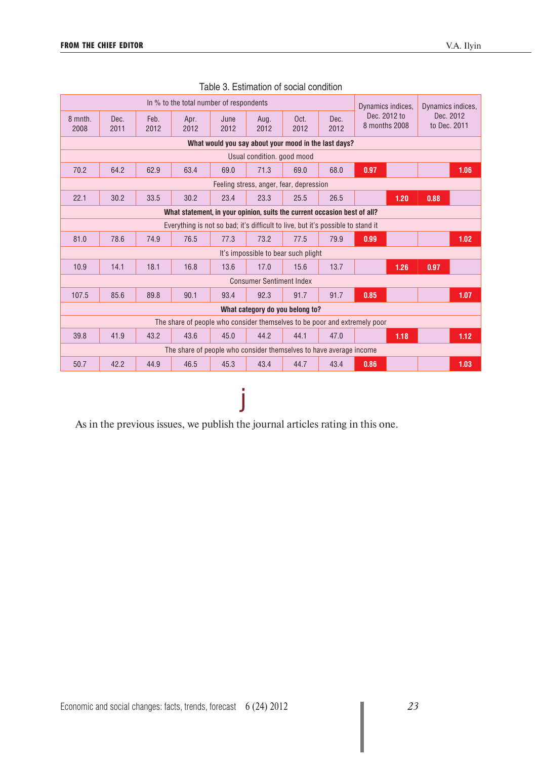|                                                                                 |                                                                      |              | In % to the total number of respondents                                   |              |                                     |              |              | Dynamics indices,             | Dynamics indices.         |  |  |  |  |  |
|---------------------------------------------------------------------------------|----------------------------------------------------------------------|--------------|---------------------------------------------------------------------------|--------------|-------------------------------------|--------------|--------------|-------------------------------|---------------------------|--|--|--|--|--|
| 8 mnth.<br>2008                                                                 | Dec.<br>2011                                                         | Feb.<br>2012 | Apr.<br>2012                                                              | June<br>2012 | Aug.<br>2012                        | Oct.<br>2012 | Dec.<br>2012 | Dec. 2012 to<br>8 months 2008 | Dec. 2012<br>to Dec. 2011 |  |  |  |  |  |
|                                                                                 | What would you say about your mood in the last days?                 |              |                                                                           |              |                                     |              |              |                               |                           |  |  |  |  |  |
| Usual condition, good mood                                                      |                                                                      |              |                                                                           |              |                                     |              |              |                               |                           |  |  |  |  |  |
| 70.2                                                                            | 64.2<br>71.3<br>0.97<br>1.06<br>62.9<br>63.4<br>69.0<br>69.0<br>68.0 |              |                                                                           |              |                                     |              |              |                               |                           |  |  |  |  |  |
| Feeling stress, anger, fear, depression                                         |                                                                      |              |                                                                           |              |                                     |              |              |                               |                           |  |  |  |  |  |
| 22.1                                                                            | 30.2                                                                 | 33.5         | 30.2                                                                      | 23.4         | 23.3                                | 25.5         | 26.5         | 1.20                          | 0.88                      |  |  |  |  |  |
| What statement, in your opinion, suits the current occasion best of all?        |                                                                      |              |                                                                           |              |                                     |              |              |                               |                           |  |  |  |  |  |
| Everything is not so bad; it's difficult to live, but it's possible to stand it |                                                                      |              |                                                                           |              |                                     |              |              |                               |                           |  |  |  |  |  |
| 81.0                                                                            | 78.6                                                                 | 74.9         | 76.5                                                                      | 77.3         | 73.2                                | 77.5         | 79.9         | 0.99                          | 1.02                      |  |  |  |  |  |
|                                                                                 |                                                                      |              |                                                                           |              | It's impossible to bear such plight |              |              |                               |                           |  |  |  |  |  |
| 10.9                                                                            | 14.1                                                                 | 18.1         | 16.8                                                                      | 13.6         | 17.0                                | 15.6         | 13.7         | 1.26                          | 0.97                      |  |  |  |  |  |
|                                                                                 |                                                                      |              |                                                                           |              | <b>Consumer Sentiment Index</b>     |              |              |                               |                           |  |  |  |  |  |
| 107.5                                                                           | 85.6                                                                 | 89.8         | 90.1                                                                      | 93.4         | 92.3                                | 91.7         | 91.7         | 0.85                          | 1.07                      |  |  |  |  |  |
|                                                                                 |                                                                      |              |                                                                           |              | What category do you belong to?     |              |              |                               |                           |  |  |  |  |  |
|                                                                                 |                                                                      |              | The share of people who consider themselves to be poor and extremely poor |              |                                     |              |              |                               |                           |  |  |  |  |  |
| 39.8                                                                            | 43.6<br>1.12<br>41.9<br>43.2<br>45.0<br>44.2<br>44.1<br>47.0<br>1.18 |              |                                                                           |              |                                     |              |              |                               |                           |  |  |  |  |  |
|                                                                                 | The share of people who consider themselves to have average income   |              |                                                                           |              |                                     |              |              |                               |                           |  |  |  |  |  |
| 50.7                                                                            | 42.2                                                                 | 44.9         | 46.5                                                                      | 45.3         | 43.4                                | 44.7         | 43.4         | 0.86                          | 1.03                      |  |  |  |  |  |

j

| Table 3. Estimation of social condition |  |
|-----------------------------------------|--|
|                                         |  |

As in the previous issues, we publish the journal articles rating in this one.